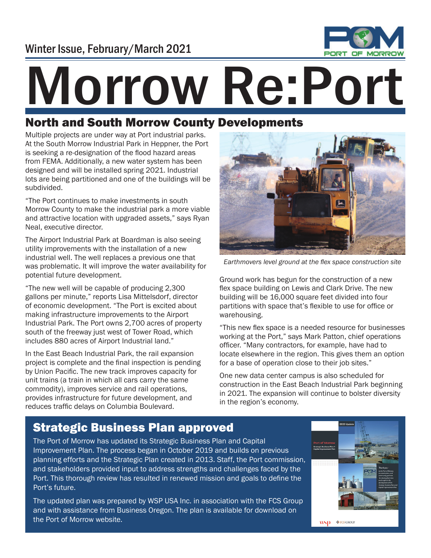

# Morrow Re:Por

#### North and South Morrow County Developments

Multiple projects are under way at Port industrial parks. At the South Morrow Industrial Park in Heppner, the Port is seeking a re-designation of the flood hazard areas from FEMA. Additionally, a new water system has been designed and will be installed spring 2021. Industrial lots are being partitioned and one of the buildings will be subdivided.

"The Port continues to make investments in south Morrow County to make the industrial park a more viable and attractive location with upgraded assets," says Ryan Neal, executive director.

The Airport Industrial Park at Boardman is also seeing utility improvements with the installation of a new industrial well. The well replaces a previous one that was problematic. It will improve the water availability for potential future development.

"The new well will be capable of producing 2,300 gallons per minute," reports Lisa Mittelsdorf, director of economic development. "The Port is excited about making infrastructure improvements to the Airport Industrial Park. The Port owns 2,700 acres of property south of the freeway just west of Tower Road, which includes 880 acres of Airport Industrial land."

In the East Beach Industrial Park, the rail expansion project is complete and the final inspection is pending by Union Pacific. The new track improves capacity for unit trains (a train in which all cars carry the same commodity), improves service and rail operations, provides infrastructure for future development, and reduces traffic delays on Columbia Boulevard.



Earthmovers level ground at the flex space construction site

Ground work has begun for the construction of a new flex space building on Lewis and Clark Drive. The new building will be 16,000 square feet divided into four partitions with space that's flexible to use for office or warehousing.

"This new flex space is a needed resource for businesses working at the Port," says Mark Patton, chief operations officer. "Many contractors, for example, have had to locate elsewhere in the region. This gives them an option for a base of operation close to their job sites."

One new data center campus is also scheduled for construction in the East Beach Industrial Park beginning in 2021. The expansion will continue to bolster diversity in the region's economy.

## Strategic Business Plan approved

The Port of Morrow has updated its Strategic Business Plan and Capital Improvement Plan. The process began in October 2019 and builds on previous planning efforts and the Strategic Plan created in 2013. Staff, the Port commission, and stakeholders provided input to address strengths and challenges faced by the Port. This thorough review has resulted in renewed mission and goals to define the Port's future.

The updated plan was prepared by WSP USA Inc. in association with the FCS Group and with assistance from Business Oregon. The plan is available for download on the Port of Morrow website.



**WSD** ♦ FCS GROUP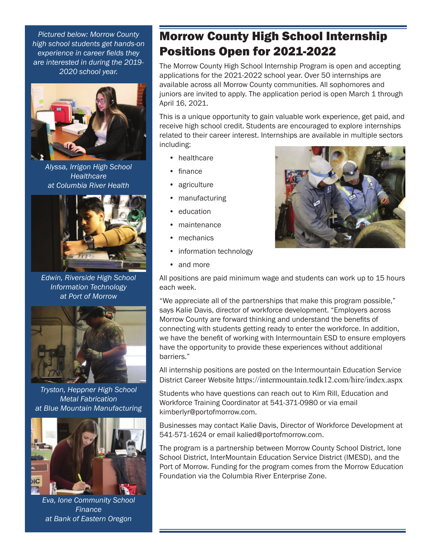*Pictured below: Morrow County high school students get hands-on experience in career fields they are interested in during the 2019- 2020 school year.* 



*Alyssa, Irrigon High School Healthcare at Columbia River Health*



*Edwin, Riverside High School Information Technology at Port of Morrow*



*Tryston, Heppner High School Metal Fabrication at Blue Mountain Manufacturing*



*Eva, Ione Community School Finance at Bank of Eastern Oregon*

### Morrow County High School Internship Positions Open for 2021-2022

The Morrow County High School Internship Program is open and accepting applications for the 2021-2022 school year. Over 50 internships are available across all Morrow County communities. All sophomores and juniors are invited to apply. The application period is open March 1 through April 16, 2021.

This is a unique opportunity to gain valuable work experience, get paid, and receive high school credit. Students are encouraged to explore internships related to their career interest. Internships are available in multiple sectors including:

- **healthcare**
- finance
- agriculture
- manufacturing
- education
- maintenance
- mechanics
- information technology
- and more

All positions are paid minimum wage and students can work up to 15 hours each week.

"We appreciate all of the partnerships that make this program possible," says Kalie Davis, director of workforce development. "Employers across Morrow County are forward thinking and understand the benefits of connecting with students getting ready to enter the workforce. In addition, we have the benefit of working with Intermountain ESD to ensure employers have the opportunity to provide these experiences without additional barriers."

All internship positions are posted on the Intermountain Education Service District Career Website https://intermountain.tedk12.com/hire/index.aspx

Students who have questions can reach out to Kim Rill, Education and Workforce Training Coordinator at 541-371-0980 or via email kimberlyr@portofmorrow.com.

Businesses may contact Kalie Davis, Director of Workforce Development at 541-571-1624 or email kalied@portofmorrow.com.

The program is a partnership between Morrow County School District, Ione School District, InterMountain Education Service District (IMESD), and the Port of Morrow. Funding for the program comes from the Morrow Education Foundation via the Columbia River Enterprise Zone.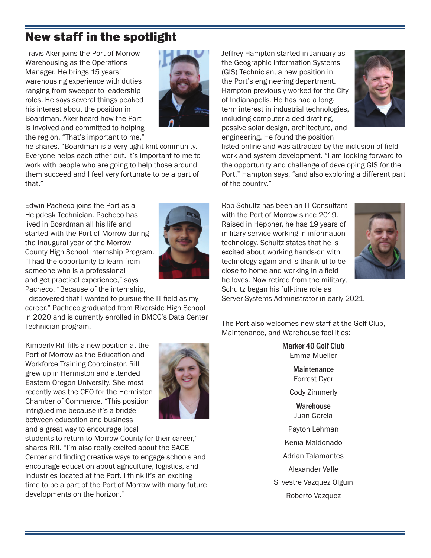### New staff in the spotlight

Travis Aker joins the Port of Morrow Warehousing as the Operations Manager. He brings 15 years' warehousing experience with duties ranging from sweeper to leadership roles. He says several things peaked his interest about the position in Boardman. Aker heard how the Port is involved and committed to helping the region. "That's important to me,"



he shares. "Boardman is a very tight-knit community. Everyone helps each other out. It's important to me to work with people who are going to help those around them succeed and I feel very fortunate to be a part of that."

Edwin Pacheco joins the Port as a Helpdesk Technician. Pacheco has lived in Boardman all his life and started with the Port of Morrow during the inaugural year of the Morrow County High School Internship Program. "I had the opportunity to learn from someone who is a professional and get practical experience," says Pacheco. "Because of the internship,



I discovered that I wanted to pursue the IT field as my career." Pacheco graduated from Riverside High School in 2020 and is currently enrolled in BMCC's Data Center Technician program.

Kimberly Rill fills a new position at the Port of Morrow as the Education and Workforce Training Coordinator. Rill grew up in Hermiston and attended Eastern Oregon University. She most recently was the CEO for the Hermiston Chamber of Commerce. "This position intrigued me because it's a bridge between education and business and a great way to encourage local



students to return to Morrow County for their career," shares Rill. "I'm also really excited about the SAGE Center and finding creative ways to engage schools and encourage education about agriculture, logistics, and industries located at the Port. I think it's an exciting time to be a part of the Port of Morrow with many future developments on the horizon."

Jeffrey Hampton started in January as the Geographic Information Systems (GIS) Technician, a new position in the Port's engineering department. Hampton previously worked for the City of Indianapolis. He has had a longterm interest in industrial technologies, including computer aided drafting, passive solar design, architecture, and engineering. He found the position



listed online and was attracted by the inclusion of field work and system development. "I am looking forward to the opportunity and challenge of developing GIS for the Port," Hampton says, "and also exploring a different part of the country."

Rob Schultz has been an IT Consultant with the Port of Morrow since 2019. Raised in Heppner, he has 19 years of military service working in information technology. Schultz states that he is excited about working hands-on with technology again and is thankful to be close to home and working in a field he loves. Now retired from the military, Schultz began his full-time role as Server Systems Administrator in early 2021.



The Port also welcomes new staff at the Golf Club, Maintenance, and Warehouse facilities:

> Marker 40 Golf Club Emma Mueller

> > **Maintenance** Forrest Dyer Cody Zimmerly

**Warehouse** Juan Garcia

Payton Lehman

Kenia Maldonado

Adrian Talamantes

Alexander Valle

Silvestre Vazquez Olguin

Roberto Vazquez